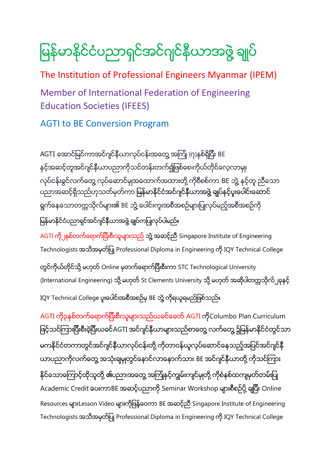မြန်မာနိုင်ငံပညာရှင်အင်ဂျင်နီယာအဖွဲ့ ချုပ်

The Institution of Professional Engineers Myanmar (IPEM)

Member of International Federation of Engineering Education Societies (IFEES)

AGTI to BE Conversion Program

AGTI အောင်မြင်ကာအင်ဂျင်နီယာလုပ်ငန်းအတွေ့ အကြုံ (၇)နစ်ရှိပြီး BE နှင့်အဆင့်တူအင်ဂျင်နီယာပညာကိုသင်တန်းတက်၍ဖြစ်စေ၊ကိုယ်တိုင်လေ့လာမျ၊ လုပ်ငန်းခွင်လက်တွေ့ လုပ်ဆောင်မှုအထောက်အထားတို့ ကိုစီစစ်ကာ BE ဘွဲ့ နင့်တူ ညီသော ပညာအဆင့်ရှိသည်ဟုသတ်မှတ်ကာ မြန်မာနိုင်ငံအင်ဂျင်နီယာအဖွဲ့ ချုပ်နှင့်ပူးပေါင်းဆောင် ရွက်နေသောတက္ကသိုလ်များ၏ BE ဘွဲ့ ပေါင်းကူးအစီအစဉ်များပြုလုပ်မည့်အစီအစဉ်ကို မြန်မာနိုင်ငံပညာရှင်အင်ဂျင်နီယာအဖွဲ့ ချုပ်ကပြုလုပ်ပါမည်။

AGTI ကို မြစ်တက်ရောက်ပြီးစီးသူများသည် ဘွဲ့ အဆင့်ညီ Singapore Institute of Engineering Technologists အသိအမှတ်ပြု Professional Diploma in Engineering ကို IQY Technical College

တွင်ကိုယ်တိုင်သို့ မဟုတ် Online မှတက်ရောက်ပြီးစီးကာ STC Technological University (International Engineering) သို့ မဟုတ် St Clements University သို့ မဟုတ် အဆိုပါတက္ကသိုလ် ုနနှင့် IQY Technical College ပူးပေါင်းအစီအစဉ်မှ BE ဘွဲ့ ကိုရယူရမည်ဖြစ်သည်။

AGTI ကို၃နစ်တက်ရောက်ပြီးစီးသူများသည်ယခင်ခေတ် AGTI ကိုColumbo Plan Curriculum ဖြင့်သင်ကြားပြီးစီးခဲ့ပြီးယခင်AGTI အင်ဂျင်နီယာများသည်စာတွေ့ လက်တွေ့ ၌မြန်မာနိုင်ငံတွင်သာ မကနိုင်ငံတကာတွင်အင်ဂျင်နီယာလုပ်ငန်းတို့ ကိုတာဝန်ယူလုပ်ဆောင်နေသည့်အပြင်အင်ဂျင်နီ ယာပညာကိုလက်တွေ့ အသုံးချမှုတွင်နောင်လာနောက်သား BE အင်ဂျင်နီယာတို့ ကိုသင်ကြား နိုင်သောကြောင့်ထိုသူတို့ ၏ပညာ၊အတွေ့ အကြုံနင့်ကျွမ်းကျင်မှုတို့ ကိုစံနစ်ထကျမှတ်တမ်းပြု Academic Credit ပေးကာBE အဆင့်ပညာကို Seminar Workshop များစီစဉ်ပို့ ချပြီး Online Resources များLesson Video များကိုဖြန့်ဝေကာ BE အဆင့်ညီ Singapore Institute of Engineering Technologists အသိအမှတ်ပြု Professional Diploma in Engineering ကို IQY Technical College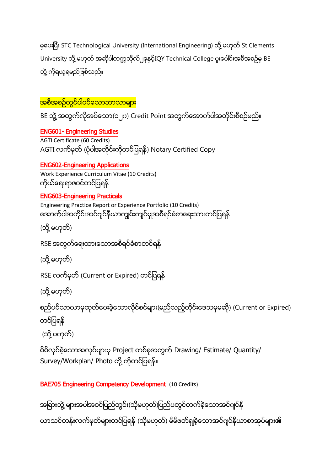မှပေးပြီး STC Technological University (International Engineering) သို့ မဟုတ် St Clements University သို့ မဟုတ် အဆိုပါတက္ကသိုလ်၂ခုနှင့်IQY Technical College ပူးပေါင်းအစီအစဉ်မှ BE ဘွဲ့ ကိုရယူရမည်ဖြစ်သည်။

<mark>အစီအစဉ်တွင်ပါဝင်သောဘာသာများ</mark>

BE ဘွဲ့ အတွက်လိုအပ်သော(၁၂၀) Credit Point အတွက်အောက်ပါအတိုင်းစီစဉ်မည်။

ENG601- Engineering Studies AGTI Certificate (60 Credits) AGTI လက်မှတ် (ပုံပါအတိုင်းကိုတင်ပြရန်) Notary Certified Copy

# ENG602-Engineering Applications

Work Experience Curriculum Vitae (10 Credits) ကိုယ်ရေးရာဇဝင်တင်ပြရန်

# ENG603-Engineering Practicals

Engineering Practice Report or Experience Portfolio (10 Credits) အောက်ပါအတိုင်းအင်ဂျင်နီယာကျွမ်းကျင်မှုအစီရင်ခံစာရေးသားတင်ပြရန်

(သို့ မဟုတ်)

RSE အတွက်ရေးထားသောအစီရင်ခံစာတင်ရန်

(သို့ မဟုတ်)

RSE လက်မှတ် (Current or Expired) တင်ပြရန်

(သို့ မဟုတ်)

စည်ပင်သာယာမှထုတ်ပေးခဲ့သောလိုင်စင်များ(မည်သည့်တိုင်းဒေသမှမဆို) (Current or Expired) တင်ပြရန်

(သို့ မဟုတ်)

မိမိလုပ်ခဲ့သောအလုပ်များမှ Project တစ်ခုအတွက် Drawing/ Estimate/ Quantity/ Survey/Workplan/ Photo တို့ ကိုတင်ပြရန်။

BAE705 Engineering Competency Development (10 Credits)

အခြားဘွဲ့ များအပါအဝင်ပြည်တွင်း(သို့မဟုတ်)ပြည်ပတွင်တက်ခဲ့သောအင်ဂျင်နီ ယာသင်တန်းလက်မှတ်များတင်ပြရန် (သို့မဟုတ်) မိမိဖတ်ရှုခဲ့သောအင်ဂျင်နီယာစာအုပ်များ၏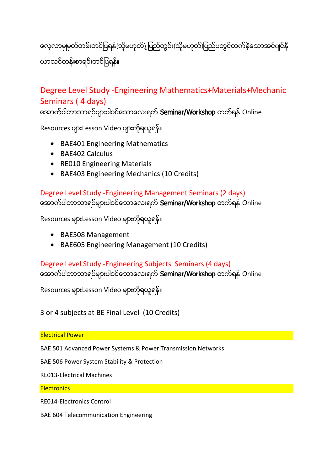လေ့လာမှုမှတ်တမ်းတင်ပြရန်(သို့မဟုတ်)့ပြည်တွင်း(သို့မဟုတ်)ပြည်ပတွင်တက်ခဲ့သောအင်ဂျင်နီ ယာသင်တန်းစာရင်းတင်ပြရန်။

# Degree Level Study -Engineering Mathematics+Materials+Mechanic Seminars ( 4 days)

အောက်ပါဘာသာရပ်များပါဝင်သောလေးရက် Seminar/Workshop တက်ရန် Online

Resources များLesson Video များကိုရယူရန်။

- BAE401 Engineering Mathematics
- BAE402 Calculus
- RE010 Engineering Materials
- BAE403 Engineering Mechanics (10 Credits)

# Degree Level Study -Engineering Management Seminars (2 days)

အောက်ပါဘာသာရပ်များပါဝင်သောလေးရက် Seminar/Workshop တက်ရန် Online

Resources များLesson Video များကိုရယူရန်။

- BAE508 Management
- BAE605 Engineering Management (10 Credits)

# Degree Level Study -Engineering Subjects Seminars (4 days)

အောက်ပါဘာသာရပ်များပါဝင်သောလေးရက် Seminar/Workshop တက်ရန် Online

Resources များLesson Video များကိုရယူရန်။

3 or 4 subjects at BE Final Level (10 Credits)

Electrical Power

BAE 501 Advanced Power Systems & Power Transmission Networks

BAE 506 Power System Stability & Protection

RE013-Electrical Machines

## **Electronics**

RE014-Electronics Control

BAE 604 Telecommunication Engineering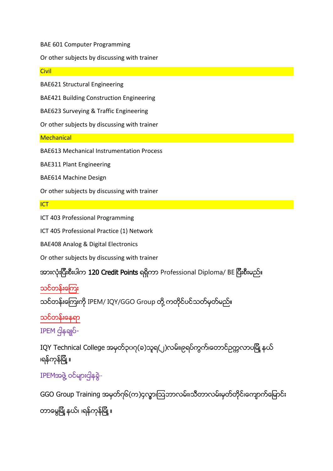BAE 601 Computer Programming

Or other subjects by discussing with trainer

**Civil** 

BAE621 Structural Engineering

BAE421 Building Construction Engineering

BAE623 Surveying & Traffic Engineering

Or other subjects by discussing with trainer

**Mechanical** 

BAE613 Mechanical Instrumentation Process

BAE311 Plant Engineering

BAE614 Machine Design

Or other subjects by discussing with trainer

**ICT** 

ICT 403 Professional Programming

ICT 405 Professional Practice (1) Network

BAE408 Analog & Digital Electronics

Or other subjects by discussing with trainer

အားလုံးပြီးစီးပါက 120 Credit Points ရရှိကာ Professional Diploma/ BE ပြီးစီးမည်။

သင်တန်းကြေး

သင်တန်းကြေးကို IPEM/ IQY/GGO Group တို့ ကတိုင်ပင်သတ်မှတ်မည်။

သင်ိတန်းနေရာ

 $IPEM$  ငါနချုပ်-

IQY Technical College အမှတ်၃၀၇(ခ)သူရ(၂)လမ်း၊၉ရပ်ကွက်၊တောင်ဥက္ကလာပမြို့ နယ် ၊ရန်ကုန်မြို့။

IPEMအဖွဲ့ ဝင်များငျိနခွဲ-

GGO Group Training အမှတ်ဂု၆(က)၄လွာ၊ဩဘာလမ်း၊သီတာလမ်းမှတ်တိုင်၊ကျောက်မြောင်း တာမွေမြို့ နယ်၊ ၊ရန်ကုန်မြို့ ။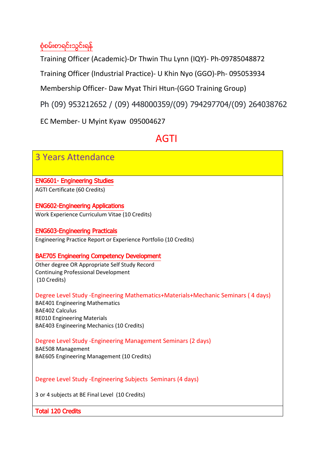# စုံစမ်းစာရင်းသွင်းရန်

Training Officer (Academic)-Dr Thwin Thu Lynn (IQY)- Ph-09785048872

Training Officer (Industrial Practice)- U Khin Nyo (GGO)-Ph- 095053934

Membership Officer- Daw Myat Thiri Htun-(GGO Training Group)

Ph (09) 953212652 / (09) 448000359/(09) 794297704/(09) 264038762

EC Member- U Myint Kyaw 095004627

# AGTI

| <b>3 Years Attendance</b>                                                             |
|---------------------------------------------------------------------------------------|
| <b>ENG601- Engineering Studies</b>                                                    |
| AGTI Certificate (60 Credits)                                                         |
|                                                                                       |
| <b>ENG602-Engineering Applications</b>                                                |
| Work Experience Curriculum Vitae (10 Credits)                                         |
|                                                                                       |
| <b>ENG603-Engineering Practicals</b>                                                  |
| Engineering Practice Report or Experience Portfolio (10 Credits)                      |
|                                                                                       |
| <b>BAE705 Engineering Competency Development</b>                                      |
| Other degree OR Appropriate Self Study Record                                         |
| <b>Continuing Professional Development</b>                                            |
| (10 Credits)                                                                          |
| Degree Level Study - Engineering Mathematics + Materials + Mechanic Seminars (4 days) |
| <b>BAE401 Engineering Mathematics</b>                                                 |
| <b>BAE402 Calculus</b>                                                                |
| <b>RE010 Engineering Materials</b>                                                    |
| BAE403 Engineering Mechanics (10 Credits)                                             |
| Degree Level Study - Engineering Management Seminars (2 days)                         |
| <b>BAE508 Management</b>                                                              |
| BAE605 Engineering Management (10 Credits)                                            |
|                                                                                       |
|                                                                                       |
| Degree Level Study - Engineering Subjects Seminars (4 days)                           |
|                                                                                       |
| 3 or 4 subjects at BE Final Level (10 Credits)                                        |
| <b>Total 120 Credits</b>                                                              |
|                                                                                       |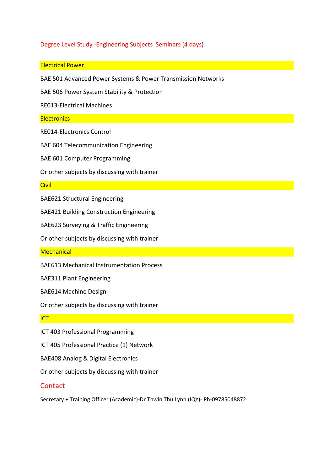## Degree Level Study -Engineering Subjects Seminars (4 days)

### Electrical Power

BAE 501 Advanced Power Systems & Power Transmission Networks

BAE 506 Power System Stability & Protection

RE013-Electrical Machines

### **Electronics**

RE014-Electronics Control

BAE 604 Telecommunication Engineering

BAE 601 Computer Programming

Or other subjects by discussing with trainer

#### **Civil**

BAE621 Structural Engineering

BAE421 Building Construction Engineering

BAE623 Surveying & Traffic Engineering

Or other subjects by discussing with trainer

#### **Mechanical**

BAE613 Mechanical Instrumentation Process

BAE311 Plant Engineering

BAE614 Machine Design

Or other subjects by discussing with trainer

#### **ICT**

ICT 403 Professional Programming

ICT 405 Professional Practice (1) Network

BAE408 Analog & Digital Electronics

Or other subjects by discussing with trainer

### **Contact**

Secretary + Training Officer (Academic)-Dr Thwin Thu Lynn (IQY)- Ph-09785048872